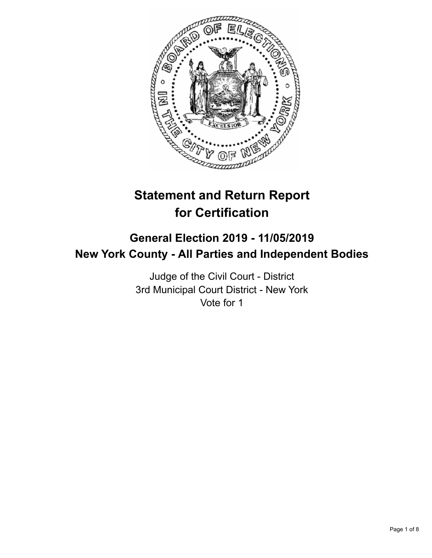

# **Statement and Return Report for Certification**

## **General Election 2019 - 11/05/2019 New York County - All Parties and Independent Bodies**

Judge of the Civil Court - District 3rd Municipal Court District - New York Vote for 1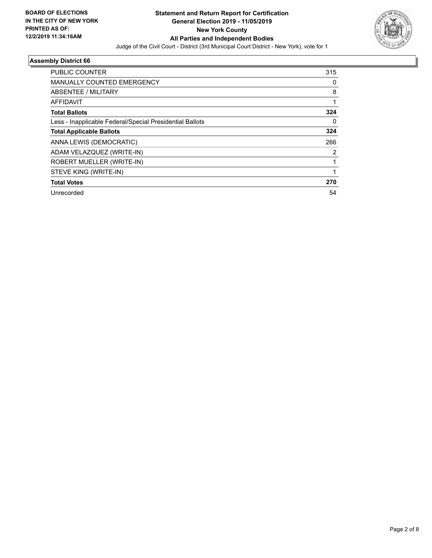

| <b>PUBLIC COUNTER</b>                                    | 315 |
|----------------------------------------------------------|-----|
| MANUALLY COUNTED EMERGENCY                               | 0   |
| ABSENTEE / MILITARY                                      | 8   |
| AFFIDAVIT                                                |     |
| <b>Total Ballots</b>                                     | 324 |
| Less - Inapplicable Federal/Special Presidential Ballots | 0   |
| <b>Total Applicable Ballots</b>                          | 324 |
| ANNA LEWIS (DEMOCRATIC)                                  | 266 |
| ADAM VELAZQUEZ (WRITE-IN)                                | 2   |
| ROBERT MUELLER (WRITE-IN)                                |     |
| STEVE KING (WRITE-IN)                                    |     |
| <b>Total Votes</b>                                       | 270 |
| Unrecorded                                               | 54  |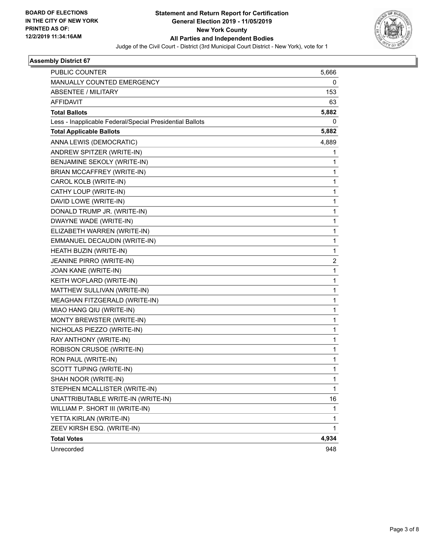

| <b>PUBLIC COUNTER</b>                                    | 5,666          |
|----------------------------------------------------------|----------------|
| MANUALLY COUNTED EMERGENCY                               | 0              |
| <b>ABSENTEE / MILITARY</b>                               | 153            |
| <b>AFFIDAVIT</b>                                         | 63             |
| <b>Total Ballots</b>                                     | 5,882          |
| Less - Inapplicable Federal/Special Presidential Ballots | 0              |
| <b>Total Applicable Ballots</b>                          | 5,882          |
| ANNA LEWIS (DEMOCRATIC)                                  | 4,889          |
| ANDREW SPITZER (WRITE-IN)                                | 1              |
| BENJAMINE SEKOLY (WRITE-IN)                              | 1              |
| BRIAN MCCAFFREY (WRITE-IN)                               | 1              |
| CAROL KOLB (WRITE-IN)                                    | 1              |
| CATHY LOUP (WRITE-IN)                                    | 1              |
| DAVID LOWE (WRITE-IN)                                    | 1              |
| DONALD TRUMP JR. (WRITE-IN)                              | 1              |
| DWAYNE WADE (WRITE-IN)                                   | 1              |
| ELIZABETH WARREN (WRITE-IN)                              | 1              |
| EMMANUEL DECAUDIN (WRITE-IN)                             | 1              |
| HEATH BUZIN (WRITE-IN)                                   | 1              |
| JEANINE PIRRO (WRITE-IN)                                 | $\overline{2}$ |
| JOAN KANE (WRITE-IN)                                     | 1              |
| KEITH WOFLARD (WRITE-IN)                                 | 1              |
| MATTHEW SULLIVAN (WRITE-IN)                              | 1              |
| MEAGHAN FITZGERALD (WRITE-IN)                            | 1              |
| MIAO HANG QIU (WRITE-IN)                                 | 1              |
| MONTY BREWSTER (WRITE-IN)                                | 1              |
| NICHOLAS PIEZZO (WRITE-IN)                               | 1              |
| RAY ANTHONY (WRITE-IN)                                   | 1              |
| ROBISON CRUSOE (WRITE-IN)                                | 1              |
| RON PAUL (WRITE-IN)                                      | 1              |
| SCOTT TUPING (WRITE-IN)                                  | 1              |
| SHAH NOOR (WRITE-IN)                                     | 1              |
| STEPHEN MCALLISTER (WRITE-IN)                            | 1              |
| UNATTRIBUTABLE WRITE-IN (WRITE-IN)                       | 16             |
| WILLIAM P. SHORT III (WRITE-IN)                          | 1              |
| YETTA KIRLAN (WRITE-IN)                                  | 1              |
| ZEEV KIRSH ESQ. (WRITE-IN)                               | 1              |
| <b>Total Votes</b>                                       | 4,934          |
| Unrecorded                                               | 948            |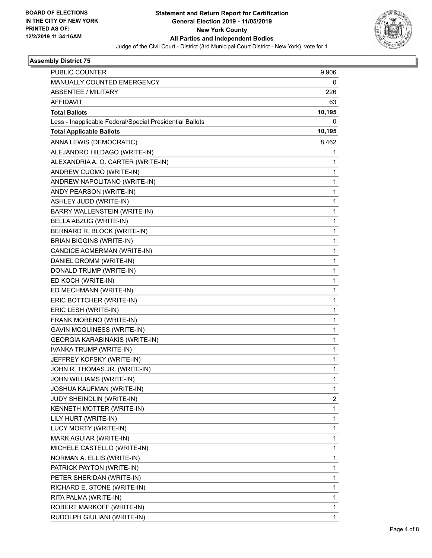

| <b>PUBLIC COUNTER</b>                                    | 9,906        |
|----------------------------------------------------------|--------------|
| MANUALLY COUNTED EMERGENCY                               | 0            |
| <b>ABSENTEE / MILITARY</b>                               | 226          |
| <b>AFFIDAVIT</b>                                         | 63           |
| <b>Total Ballots</b>                                     | 10,195       |
| Less - Inapplicable Federal/Special Presidential Ballots | 0            |
| <b>Total Applicable Ballots</b>                          | 10,195       |
| ANNA LEWIS (DEMOCRATIC)                                  | 8,462        |
| ALEJANDRO HILDAGO (WRITE-IN)                             | 1            |
| ALEXANDRIA A. O. CARTER (WRITE-IN)                       | 1            |
| ANDREW CUOMO (WRITE-IN)                                  | 1            |
| ANDREW NAPOLITANO (WRITE-IN)                             | 1            |
| ANDY PEARSON (WRITE-IN)                                  | $\mathbf 1$  |
| ASHLEY JUDD (WRITE-IN)                                   | $\mathbf{1}$ |
| BARRY WALLENSTEIN (WRITE-IN)                             | 1            |
| BELLA ABZUG (WRITE-IN)                                   | 1            |
| BERNARD R. BLOCK (WRITE-IN)                              | $\mathbf{1}$ |
| <b>BRIAN BIGGINS (WRITE-IN)</b>                          | 1            |
| CANDICE ACMERMAN (WRITE-IN)                              | $\mathbf{1}$ |
| DANIEL DROMM (WRITE-IN)                                  | $\mathbf{1}$ |
| DONALD TRUMP (WRITE-IN)                                  | 1            |
| ED KOCH (WRITE-IN)                                       | 1            |
| ED MECHMANN (WRITE-IN)                                   | $\mathbf{1}$ |
| ERIC BOTTCHER (WRITE-IN)                                 | 1            |
| ERIC LESH (WRITE-IN)                                     | $\mathbf{1}$ |
| FRANK MORENO (WRITE-IN)                                  | $\mathbf{1}$ |
| GAVIN MCGUINESS (WRITE-IN)                               | 1            |
| GEORGIA KARABINAKIS (WRITE-IN)                           | 1            |
| IVANKA TRUMP (WRITE-IN)                                  | $\mathbf{1}$ |
| JEFFREY KOFSKY (WRITE-IN)                                | 1            |
| JOHN R. THOMAS JR. (WRITE-IN)                            | $\mathbf 1$  |
| JOHN WILLIAMS (WRITE-IN)                                 | 1            |
| JOSHUA KAUFMAN (WRITE-IN)                                | 1            |
| JUDY SHEINDLIN (WRITE-IN)                                | 2            |
| KENNETH MOTTER (WRITE-IN)                                | $\mathbf{1}$ |
| LILY HURT (WRITE-IN)                                     | 1            |
| LUCY MORTY (WRITE-IN)                                    | $\mathbf 1$  |
| MARK AGUIAR (WRITE-IN)                                   | $\mathbf{1}$ |
| MICHELE CASTELLO (WRITE-IN)                              | 1            |
| NORMAN A. ELLIS (WRITE-IN)                               | $\mathbf{1}$ |
| PATRICK PAYTON (WRITE-IN)                                | $\mathbf{1}$ |
| PETER SHERIDAN (WRITE-IN)                                | 1            |
| RICHARD E. STONE (WRITE-IN)                              | $\mathbf{1}$ |
| RITA PALMA (WRITE-IN)                                    | $\mathbf{1}$ |
| ROBERT MARKOFF (WRITE-IN)                                | 1            |
| RUDOLPH GIULIANI (WRITE-IN)                              | $\mathbf{1}$ |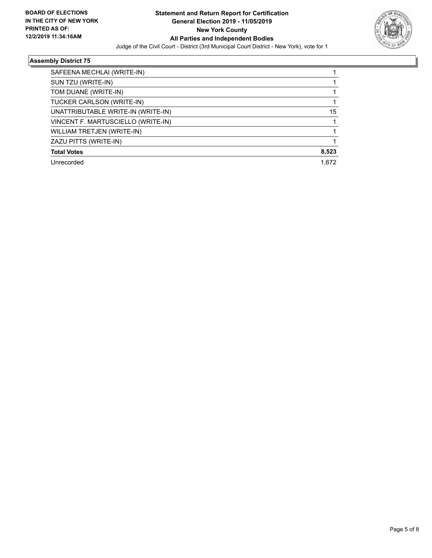

| SAFEENA MECHLAI (WRITE-IN)         |       |
|------------------------------------|-------|
| SUN TZU (WRITE-IN)                 |       |
| TOM DUANE (WRITE-IN)               |       |
| TUCKER CARLSON (WRITE-IN)          |       |
| UNATTRIBUTABLE WRITE-IN (WRITE-IN) | 15    |
| VINCENT F. MARTUSCIELLO (WRITE-IN) |       |
| WILLIAM TRETJEN (WRITE-IN)         |       |
| ZAZU PITTS (WRITE-IN)              |       |
| <b>Total Votes</b>                 | 8,523 |
| Unrecorded                         | 1.672 |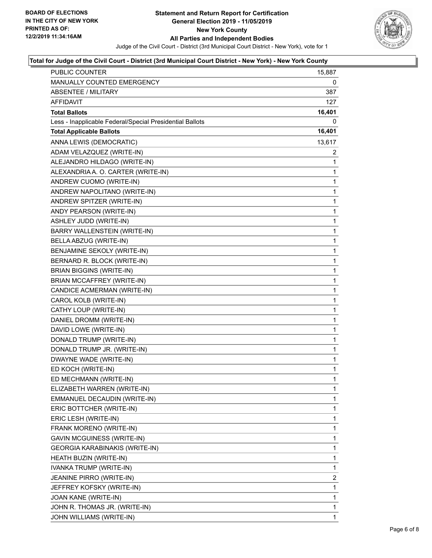

#### **Total for Judge of the Civil Court - District (3rd Municipal Court District - New York) - New York County**

| PUBLIC COUNTER                                           | 15,887         |
|----------------------------------------------------------|----------------|
| MANUALLY COUNTED EMERGENCY                               | 0              |
| <b>ABSENTEE / MILITARY</b>                               | 387            |
| AFFIDAVIT                                                | 127            |
| <b>Total Ballots</b>                                     | 16,401         |
| Less - Inapplicable Federal/Special Presidential Ballots | 0              |
| <b>Total Applicable Ballots</b>                          | 16,401         |
| ANNA LEWIS (DEMOCRATIC)                                  | 13,617         |
| ADAM VELAZQUEZ (WRITE-IN)                                | 2              |
| ALEJANDRO HILDAGO (WRITE-IN)                             | 1              |
| ALEXANDRIA A. O. CARTER (WRITE-IN)                       | 1              |
| ANDREW CUOMO (WRITE-IN)                                  | 1              |
| ANDREW NAPOLITANO (WRITE-IN)                             | 1              |
| ANDREW SPITZER (WRITE-IN)                                | 1              |
| ANDY PEARSON (WRITE-IN)                                  | 1              |
| ASHLEY JUDD (WRITE-IN)                                   | 1              |
| BARRY WALLENSTEIN (WRITE-IN)                             | 1              |
| BELLA ABZUG (WRITE-IN)                                   | 1              |
| BENJAMINE SEKOLY (WRITE-IN)                              | 1              |
| BERNARD R. BLOCK (WRITE-IN)                              | 1              |
| <b>BRIAN BIGGINS (WRITE-IN)</b>                          | 1              |
| BRIAN MCCAFFREY (WRITE-IN)                               | 1              |
| CANDICE ACMERMAN (WRITE-IN)                              | 1              |
| CAROL KOLB (WRITE-IN)                                    | 1              |
| CATHY LOUP (WRITE-IN)                                    | 1              |
| DANIEL DROMM (WRITE-IN)                                  | 1              |
| DAVID LOWE (WRITE-IN)                                    | 1              |
| DONALD TRUMP (WRITE-IN)                                  | 1              |
| DONALD TRUMP JR. (WRITE-IN)                              | 1              |
| DWAYNE WADE (WRITE-IN)                                   | 1              |
| ED KOCH (WRITE-IN)                                       | 1              |
| ED MECHMANN (WRITE-IN)                                   | $\mathbf{1}$   |
| ELIZABETH WARREN (WRITE-IN)                              | 1              |
| EMMANUEL DECAUDIN (WRITE-IN)                             | 1              |
| ERIC BOTTCHER (WRITE-IN)                                 | 1              |
| ERIC LESH (WRITE-IN)                                     | 1              |
| FRANK MORENO (WRITE-IN)                                  | 1              |
| <b>GAVIN MCGUINESS (WRITE-IN)</b>                        | 1              |
| GEORGIA KARABINAKIS (WRITE-IN)                           | 1              |
| HEATH BUZIN (WRITE-IN)                                   | 1              |
| IVANKA TRUMP (WRITE-IN)                                  | 1              |
| JEANINE PIRRO (WRITE-IN)                                 | $\overline{2}$ |
| JEFFREY KOFSKY (WRITE-IN)                                | 1              |
| JOAN KANE (WRITE-IN)                                     | 1              |
| JOHN R. THOMAS JR. (WRITE-IN)                            | 1              |
| JOHN WILLIAMS (WRITE-IN)                                 | 1              |
|                                                          |                |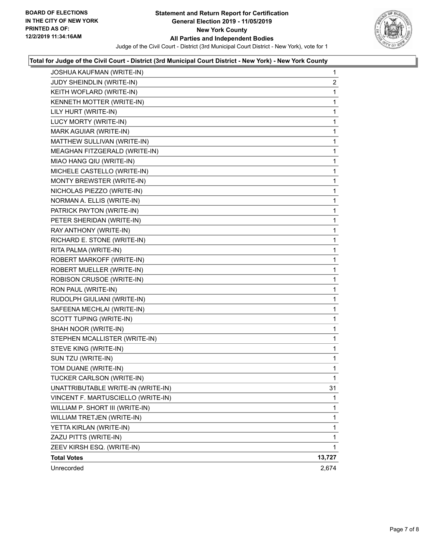

### **Total for Judge of the Civil Court - District (3rd Municipal Court District - New York) - New York County**

| JOSHUA KAUFMAN (WRITE-IN)          | $\mathbf{1}$   |
|------------------------------------|----------------|
| JUDY SHEINDLIN (WRITE-IN)          | $\overline{2}$ |
| KEITH WOFLARD (WRITE-IN)           | 1              |
| KENNETH MOTTER (WRITE-IN)          | 1              |
| LILY HURT (WRITE-IN)               | 1              |
| LUCY MORTY (WRITE-IN)              | 1              |
| MARK AGUIAR (WRITE-IN)             | 1              |
| MATTHEW SULLIVAN (WRITE-IN)        | 1              |
| MEAGHAN FITZGERALD (WRITE-IN)      | 1              |
| MIAO HANG QIU (WRITE-IN)           | 1              |
| MICHELE CASTELLO (WRITE-IN)        | 1              |
| MONTY BREWSTER (WRITE-IN)          | 1              |
| NICHOLAS PIEZZO (WRITE-IN)         | 1              |
| NORMAN A. ELLIS (WRITE-IN)         | 1              |
| PATRICK PAYTON (WRITE-IN)          | 1              |
| PETER SHERIDAN (WRITE-IN)          | 1              |
| RAY ANTHONY (WRITE-IN)             | 1              |
| RICHARD E. STONE (WRITE-IN)        | 1              |
| RITA PALMA (WRITE-IN)              | 1              |
| ROBERT MARKOFF (WRITE-IN)          | 1              |
| ROBERT MUELLER (WRITE-IN)          | 1              |
| ROBISON CRUSOE (WRITE-IN)          | 1              |
| RON PAUL (WRITE-IN)                | 1              |
| RUDOLPH GIULIANI (WRITE-IN)        | 1              |
| SAFEENA MECHLAI (WRITE-IN)         | 1              |
| SCOTT TUPING (WRITE-IN)            | 1              |
| SHAH NOOR (WRITE-IN)               | 1              |
| STEPHEN MCALLISTER (WRITE-IN)      | 1              |
| STEVE KING (WRITE-IN)              | 1              |
| SUN TZU (WRITE-IN)                 | 1              |
| TOM DUANE (WRITE-IN)               | 1              |
| TUCKER CARLSON (WRITE-IN)          | 1              |
| UNATTRIBUTABLE WRITE-IN (WRITE-IN) | 31             |
| VINCENT F. MARTUSCIELLO (WRITE-IN) | 1              |
| WILLIAM P. SHORT III (WRITE-IN)    | 1              |
| WILLIAM TRETJEN (WRITE-IN)         | 1              |
| YETTA KIRLAN (WRITE-IN)            | 1              |
| ZAZU PITTS (WRITE-IN)              | 1              |
| ZEEV KIRSH ESQ. (WRITE-IN)         | 1              |
| <b>Total Votes</b>                 | 13,727         |
| Unrecorded                         | 2,674          |